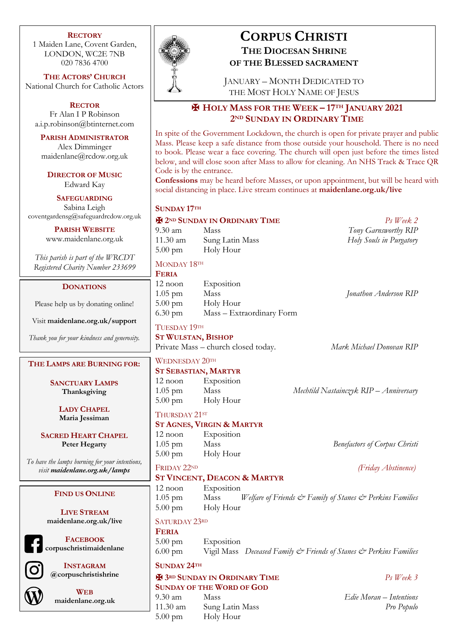### **RECTORY**

1 Maiden Lane, Covent Garden, LONDON, WC2E 7NB 020 7836 4700

**THE ACTORS' CHURCH** National Church for Catholic Actors

**RECTOR** Fr Alan I P Robinson a.i.p.robinson@btinternet.com

**PARISH ADMINISTRATOR** Alex Dimminger maidenlane@rcdow.org.uk

**DIRECTOR OF MUSIC** Edward Kay

**SAFEGUARDING** Sabina Leigh coventgardensg@safeguardrcdow.org.uk

> **PARISH WEBSITE** www.maidenlane.org.uk

*This parish is part of the WRCDT Registered Charity Number 233699*

### **DONATIONS**

Please help us by donating online!

Visit **maidenlane.org.uk/support**

*Thank you for your kindness and generosity.*

## **THE LAMPS ARE BURNING FOR:**

**SANCTUARY LAMPS Thanksgiving**

> **LADY CHAPEL Maria Jessiman**

**SACRED HEART CHAPEL Peter Hegarty**

*To have the lamps burning for your intentions, visit maidenlane.org.uk/lamps*

### **FIND US ONLINE**

**LIVE STREAM maidenlane.org.uk/live**

**FACEBOOK**

**corpuschristimaidenlane**



**INSTAGRAM @corpuschristishrine**



**WEB maidenlane.org.uk**



# **CORPUS CHRISTI THE DIOCESAN SHRINE OF THE BLESSED SACRAMENT**

JANUARY – MONTH DEDICATED TO THE MOST HOLY NAME OF JESUS

## ✠ **HOLY MASS FOR THE WEEK – 17TH JANUARY 2021 2ND SUNDAY IN ORDINARY TIME**

In spite of the Government Lockdown, the church is open for private prayer and public Mass. Please keep a safe distance from those outside your household. There is no need to book. Please wear a face covering. The church will open just before the times listed below, and will close soon after Mass to allow for cleaning. An NHS Track & Trace QR Code is by the entrance.

**Confessions** may be heard before Masses, or upon appointment, but will be heard with social distancing in place. Live stream continues at **maidenlane.org.uk/live**

### **SUNDAY 17TH**

## ✠ **2ND SUNDAY IN ORDINARY TIME** *Ps Week 2*

9.30 am Mass *Tony Garnsworthy RIP* 11.30 am Sung Latin Mass *Holy Souls in Purgatory* 5.00 pm Holy Hour

### MONDAY 18TH

| <b>FERIA</b>      |                           |                       |
|-------------------|---------------------------|-----------------------|
| $12$ noon         | Exposition                |                       |
| $1.05$ pm         | Mass                      | Jonathon Anderson RIP |
| $5.00 \text{ pm}$ | Holy Hour                 |                       |
| $6.30 \text{ pm}$ | Mass – Extraordinary Form |                       |

## TUESDAY 19TH

**ST WULSTAN, BISHOP** Private Mass – church closed today. *Mark Michael Donovan RIP*

## WEDNESDAY 20TH

## **ST SEBASTIAN, MARTYR**

12 noon Exposition 5.00 pm Holy Hour

## THURSDAY 21ST

## **ST AGNES, VIRGIN & MARTYR**

12 noon Exposition 5.00 pm Holy Hour

## **ST VINCENT, DEACON & MARTYR**

12 noon Exposition 1.05 pm Mass *Welfare of Friends & Family of Stanes & Perkins Families* 5.00 pm Holy Hour

### SATURDAY 23RD

**FERIA**

5.00 pm Exposition 6.00 pm Vigil Mass *Deceased Family & Friends of Stanes & Perkins Families*

## **SUNDAY 24TH**

| <b>E</b> 3RD SUNDAY IN ORDINARY TIME |                 | $Ps$ Week 3             |
|--------------------------------------|-----------------|-------------------------|
| <b>SUNDAY OF THE WORD OF GOD</b>     |                 |                         |
| $9.30 \text{ am}$                    | <b>Mass</b>     | Edie Moran – Intentions |
| $11.30$ am                           | Sung Latin Mass | Pro Populo              |
| $5.00 \text{ pm}$                    | Holy Hour       |                         |

1.05 pm Mass *Mechtild Nastainczyk RIP – Anniversary*

1.05 pm Mass *Benefactors of Corpus Christi*

## FRIDAY 22ND *(Friday Abstinence)*